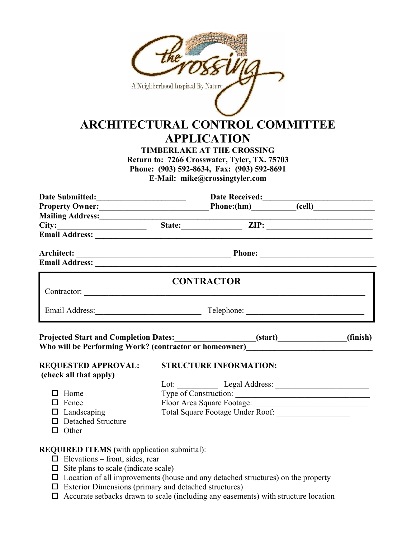| A Neighborhood Inspired By Nature<br><b>ARCHITECTURAL CONTROL COMMITTEE</b><br><b>APPLICATION</b><br><b>TIMBERLAKE AT THE CROSSING</b><br>Return to: 7266 Crosswater, Tyler, TX. 75703<br>Phone: (903) 592-8634, Fax: (903) 592-8691<br>E-Mail: mike@crossingtyler.com |                                                                                                                                                                                                                                |                               |  |          |  |
|------------------------------------------------------------------------------------------------------------------------------------------------------------------------------------------------------------------------------------------------------------------------|--------------------------------------------------------------------------------------------------------------------------------------------------------------------------------------------------------------------------------|-------------------------------|--|----------|--|
|                                                                                                                                                                                                                                                                        |                                                                                                                                                                                                                                |                               |  |          |  |
|                                                                                                                                                                                                                                                                        |                                                                                                                                                                                                                                |                               |  |          |  |
|                                                                                                                                                                                                                                                                        |                                                                                                                                                                                                                                |                               |  |          |  |
| Email Address: National Address: National Address: National Address: National Address: National Address: National Address: National Address: National Address: National Address: National Address: National Address: National                                          |                                                                                                                                                                                                                                |                               |  |          |  |
| <b>Email Address:</b> No. 2014 19:30 No. 2014 19:30 No. 2014 19:30 No. 2014 19:30 No. 2014 19:30 No. 2014 19:30 No. 2014 19:30 No. 2014 19:30 No. 2014 19:30 No. 2014 19:30 No. 2014 19:30 No. 2014 19:30 No. 2014 19:30 No. 2014 1                                    |                                                                                                                                                                                                                                |                               |  |          |  |
|                                                                                                                                                                                                                                                                        |                                                                                                                                                                                                                                | <b>CONTRACTOR</b>             |  |          |  |
|                                                                                                                                                                                                                                                                        | Email Address: Telephone: Telephone: Telephone: Telephone: Telephone: Telephone: Telephone: Telephone: Telephone: Telephone: Telephone: Telephone: Telephone: Telephone: Telephone: Telephone: Telephone: Telephone: Telephone |                               |  |          |  |
| <b>Projected Start and Completion Dates:</b><br>Who will be Performing Work? (contractor or homeowner)__________________________                                                                                                                                       |                                                                                                                                                                                                                                | (start)                       |  | (finish) |  |
| <b>REQUESTED APPROVAL:</b><br>(check all that apply)                                                                                                                                                                                                                   |                                                                                                                                                                                                                                | <b>STRUCTURE INFORMATION:</b> |  |          |  |
|                                                                                                                                                                                                                                                                        |                                                                                                                                                                                                                                |                               |  |          |  |
| $\Box$ Home<br>$\Box$ Fence                                                                                                                                                                                                                                            |                                                                                                                                                                                                                                |                               |  |          |  |
| $\Box$ Landscaping                                                                                                                                                                                                                                                     | Type of Construction: Floor Area Square Footage: Total Square Footage Under Roof:                                                                                                                                              |                               |  |          |  |
| $\Box$ Detached Structure<br>$\Box$ Other                                                                                                                                                                                                                              |                                                                                                                                                                                                                                |                               |  |          |  |
| <b>REQUIRED ITEMS</b> (with application submittal):                                                                                                                                                                                                                    |                                                                                                                                                                                                                                |                               |  |          |  |
| $\Box$ Elevations – front, sides, rear                                                                                                                                                                                                                                 |                                                                                                                                                                                                                                |                               |  |          |  |
| $\Box$ Site plans to scale (indicate scale)                                                                                                                                                                                                                            |                                                                                                                                                                                                                                |                               |  |          |  |
| $\Box$ Location of all improvements (house and any detached structures) on the property                                                                                                                                                                                |                                                                                                                                                                                                                                |                               |  |          |  |

- $\square$  Exterior Dimensions (primary and detached structures)
- $\Box$  Accurate setbacks drawn to scale (including any easements) with structure location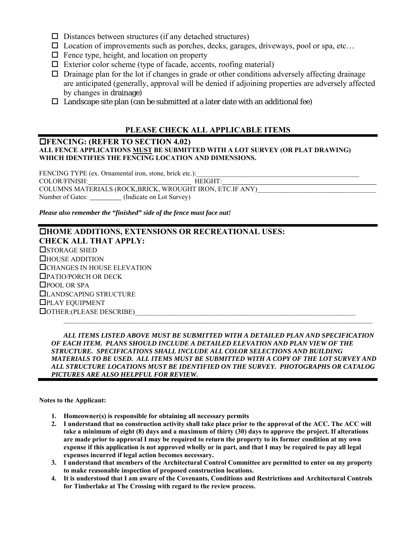- $\square$  Distances between structures (if any detached structures)
- $\square$  Location of improvements such as porches, decks, garages, driveways, pool or spa, etc...
- $\Box$  Fence type, height, and location on property
- $\Box$  Exterior color scheme (type of facade, accents, roofing material)
- $\Box$  Drainage plan for the lot if changes in grade or other conditions adversely affecting drainage are anticipated (generally, approval will be denied if adjoining properties are adversely affected by changes in drainage)
- $\Box$  Landscape site plan (can be submitted at a later date with an additional fee)

## **PLEASE CHECK ALL APPLICABLE ITEMS**

### **FENCING: (REFER TO SECTION 4.02) ALL FENCE APPLICATIONS MUST BE SUBMITTED WITH A LOT SURVEY (OR PLAT DRAWING) WHICH IDENTIFIES THE FENCING LOCATION AND DIMENSIONS.**

FENCING TYPE (ex. Ornamental iron, stone, brick etc.): COLOR/FINISH: HEIGHT: COLUMNS MATERIALS (ROCK,BRICK, WROUGHT IRON, ETC.IF ANY) Number of Gates: (Indicate on Lot Survey)

*Please also remember the "finished" side of the fence must face out!* 

## **HOME ADDITIONS, EXTENSIONS OR RECREATIONAL USES: CHECK ALL THAT APPLY: OSTORAGE SHED** HOUSE ADDITION CHANGES IN HOUSE ELEVATION PATIO/PORCH OR DECK □POOL OR SPA LANDSCAPING STRUCTURE PLAY EQUIPMENT  $\Box$  OTHER:(PLEASE DESCRIBE)  $\mathcal{L}_\mathcal{L} = \mathcal{L}_\mathcal{L}$

 *ALL ITEMS LISTED ABOVE MUST BE SUBMITTED WITH A DETAILED PLAN AND SPECIFICATION OF EACH ITEM. PLANS SHOULD INCLUDE A DETAILED ELEVATION AND PLAN VIEW OF THE STRUCTURE. SPECIFICATIONS SHALL INCLUDE ALL COLOR SELECTIONS AND BUILDING MATERIALS TO BE USED. ALL ITEMS MUST BE SUBMITTED WITH A COPY OF THE LOT SURVEY AND ALL STRUCTURE LOCATIONS MUST BE IDENTIFIED ON THE SURVEY. PHOTOGRAPHS OR CATALOG PICTURES ARE ALSO HELPFUL FOR REVIEW.* 

**Notes to the Applicant:** 

- **1. Homeowner(s) is responsible for obtaining all necessary permits**
- **2. I understand that no construction activity shall take place prior to the approval of the ACC. The ACC will take a minimum of eight (8) days and a maximum of thirty (30) days to approve the project. If alterations are made prior to approval I may be required to return the property to its former condition at my own expense if this application is not approved wholly or in part, and that I may be required to pay all legal expenses incurred if legal action becomes necessary.**
- **3. I understand that members of the Architectural Control Committee are permitted to enter on my property to make reasonable inspection of proposed construction locations.**
- **4. It is understood that I am aware of the Covenants, Conditions and Restrictions and Architectural Controls for Timberlake at The Crossing with regard to the review process.**